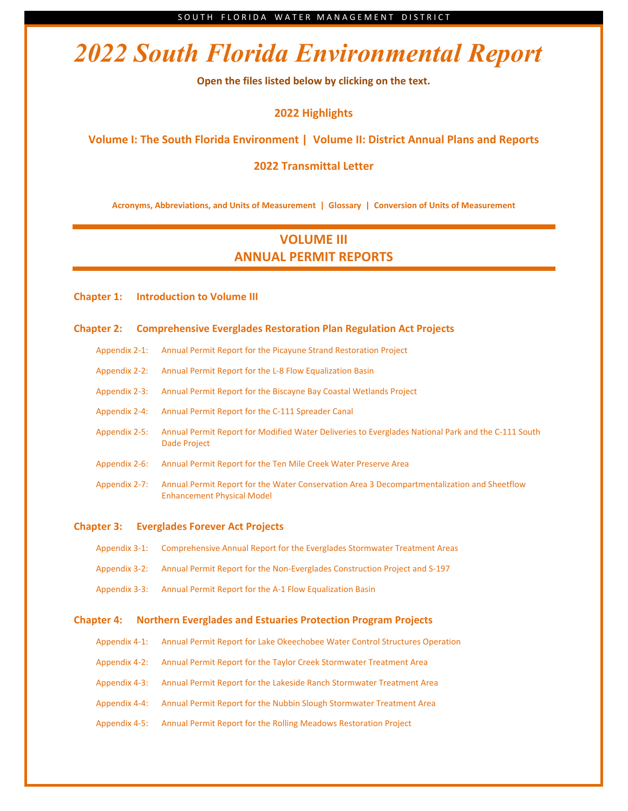# *2022 South Florida Environmental Report*

**Open the files listed below by clicking on the text.**

**2022 [Highlights](http://apps.sfwmd.gov/sfwmd/SFER/2022_sfer_final/2021_sfer_highlights_hr.pdf)** 

**[Volume I: The South Florida Environment](http://apps.sfwmd.gov/sfwmd/SFER/2022_sfer_final/v1/sfer_toc_v1.pdf) | [Volume II: District Annual Plans and Reports](http://apps.sfwmd.gov/sfwmd/SFER/2022_sfer_final/v2/sfer_toc_v2.pdf)**

### **2022 [Transmittal Letter](http://apps.sfwmd.gov/sfwmd/SFER/2022_sfer_final/2021_sfer_transmittal_letter.pdf)**

**Acronyms, Abbreviations, [and Units of Measurement](http://apps.sfwmd.gov/sfwmd/SFER/2022_sfer_final/front_matter/acronyms.pdf) [| Glossary](http://apps.sfwmd.gov/sfwmd/SFER/2022_sfer_final/front_matter/glossary.pdf) [| Conversion of Units of Measurement](http://apps.sfwmd.gov/sfwmd/SFER/2022_sfer_final/front_matter/conversion.pdf)**

## **VOLUME III ANNUAL PERMIT REPORTS**

**[Chapter 1: Introduction to Volume III](http://apps.sfwmd.gov/sfwmd/SFER/2022_sfer_final/v3/chapters/v3_ch1.pdf)**

### **Chapter 2: [Comprehensive Everglades Restoration Plan Regulation Act Projects](http://apps.sfwmd.gov/sfwmd/SFER/2022_sfer_final/v3/chapters/v3_ch2.pdf)**

- Appendix 2-1: [Annual Permit Report for the Picayune Strand Restoration Project](http://apps.sfwmd.gov/sfwmd/SFER/2022_sfer_final/v3/appendices/v3_app2-1.pdf)
- Appendix 2-2: [Annual Permit Report for the L-8 Flow Equalization Basin](http://apps.sfwmd.gov/sfwmd/SFER/2022_sfer_final/v3/appendices/v3_app2-2.pdf)
- [Appendix 2-3: Annual Permit Report for the Biscayne Bay Coastal Wetlands Project](http://apps.sfwmd.gov/sfwmd/SFER/2022_sfer_final/v3/appendices/v3_app2-3.pdf)
- Appendix 2-4: [Annual Permit Report for the C-111 Spreader Canal](http://apps.sfwmd.gov/sfwmd/SFER/2022_sfer_final/v3/appendices/v3_app2-4.pdf)
- Appendix 2-5: [Annual Permit Report for Modified Water Deliveries to Everglades National Park and the C-111 South](http://apps.sfwmd.gov/sfwmd/SFER/2022_sfer_final/v3/appendices/v3_app2-5.pdf)  Dade Project
- [Appendix 2-6: Annual Permit Report for the Ten Mile Creek Water Preserve Area](http://apps.sfwmd.gov/sfwmd/SFER/2022_sfer_final/v3/appendices/v3_app2-6.pdf)
- Appendix 2-7: [Annual Permit Report for the Water Conservation Area 3 Decompartmentalization and Sheetflow](http://apps.sfwmd.gov/sfwmd/SFER/2022_sfer_final/v3/appendices/v3_app2-7.pdf)  Enhancement Physical Model

#### **[Chapter 3: Everglades Forever Act Projects](http://apps.sfwmd.gov/sfwmd/SFER/2022_sfer_final/v3/chapters/v3_ch3.pdf)**

| Appendix 3-1: Comprehensive Annual Report for the Everglades Stormwater Treatment Areas  |
|------------------------------------------------------------------------------------------|
| Appendix 3-2: Annual Permit Report for the Non-Everglades Construction Project and S-197 |
| Appendix 3-3: Annual Permit Report for the A-1 Flow Equalization Basin                   |

#### **Chapter 4: [Northern Everglades and Estuaries Protection Program Projects](http://apps.sfwmd.gov/sfwmd/SFER/2022_sfer_final/v3/chapters/v3_ch4.pdf)**

| Appendix 4-1: | Annual Permit Report for Lake Okeechobee Water Control Structures Operation |
|---------------|-----------------------------------------------------------------------------|
| Appendix 4-2: | Annual Permit Report for the Taylor Creek Stormwater Treatment Area         |
| Appendix 4-3: | Annual Permit Report for the Lakeside Ranch Stormwater Treatment Area       |
| Appendix 4-4: | Annual Permit Report for the Nubbin Slough Stormwater Treatment Area        |
| Appendix 4-5: | Annual Permit Report for the Rolling Meadows Restoration Project            |